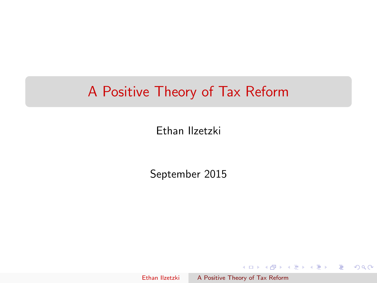# A Positive Theory of Tax Reform

Ethan Ilzetzki

September 2015

Ethan Ilzetzki [A Positive Theory of Tax Reform](#page-31-0)

イロト イ団 トイモト イモド

<span id="page-0-0"></span> $\equiv$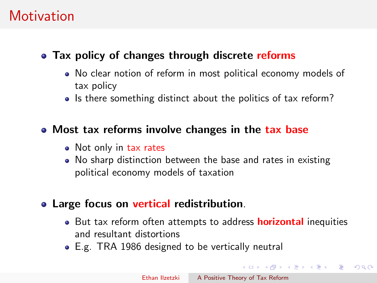# **Motivation**

#### • Tax policy of changes through discrete reforms

- No clear notion of reform in most political economy models of tax policy
- Is there something distinct about the politics of tax reform?

#### • Most tax reforms involve changes in the tax base

- Not only in tax rates
- No sharp distinction between the base and rates in existing political economy models of taxation
- Large focus on vertical redistribution.
	- But tax reform often attempts to address **horizontal** inequities and resultant distortions
	- E.g. TRA 1986 designed to be vertically neutral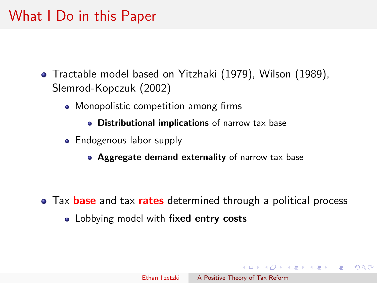# What I Do in this Paper

- Tractable model based on Yitzhaki (1979), Wilson (1989), Slemrod-Kopczuk (2002)
	- Monopolistic competition among firms
		- Distributional implications of narrow tax base
	- Endogenous labor supply
		- Aggregate demand externality of narrow tax base

- Tax **base** and tax **rates** determined through a political process
	- Lobbying model with fixed entry costs

 $\Omega$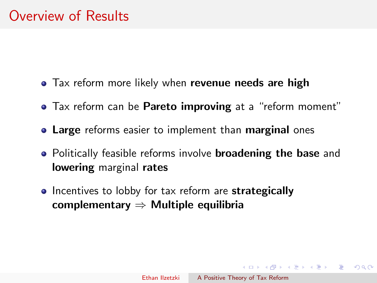- Tax reform more likely when revenue needs are high
- Tax reform can be **Pareto improving** at a "reform moment"
- **Large** reforms easier to implement than **marginal** ones
- Politically feasible reforms involve **broadening the base** and lowering marginal rates
- Incentives to lobby for tax reform are strategically complementary  $\Rightarrow$  Multiple equilibria

 $\Omega$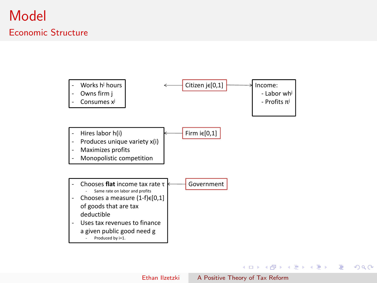

Ethan Ilzetzki [A Positive Theory of Tax Reform](#page-0-0)

イロメ イ団メ イモメ イモメー

E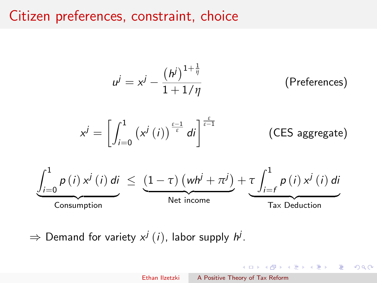### Citizen preferences, constraint, choice

$$
u^{j} = x^{j} - \frac{(h^{j})^{1 + \frac{1}{\eta}}}{1 + 1/\eta}
$$
 (Preferences)  

$$
x^{j} = \left[ \int_{i=0}^{1} (x^{j} (i))^{\frac{\varepsilon-1}{\varepsilon}} di \right]^{\frac{\varepsilon}{\varepsilon-1}}
$$
 (CES aggregate)  

$$
\underbrace{\int_{i=0}^{1} p(i) x^{j} (i) di}_{\text{Consumption}} \leq \underbrace{(1 - \tau) (wh^{j} + \pi^{j})}_{\text{Net income}} + \underbrace{\int_{i=f}^{1} p(i) x^{j} (i) di}_{\text{Tax Deduction}}
$$

 $\Rightarrow$  Demand for variety  $x^j$   $(i)$ , labor supply  $h^j$ .

Ethan Ilzetzki [A Positive Theory of Tax Reform](#page-0-0)

御き メモ メイモメー

 $QQ$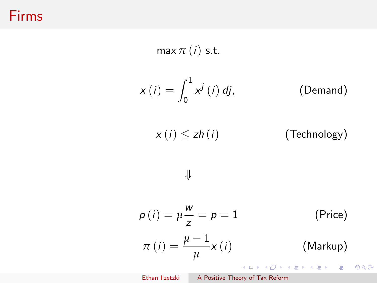Firms

$$
\max\pi(i) \text{ s.t.}
$$

$$
x(i) = \int_0^1 x^j(i) \, dj,
$$
 (Demand)

 $x(i) \le zh(i)$  (Technology)

⇓

 $p(i) = \mu \frac{w}{7}$  $\frac{n}{z} = p = 1$  (Price)  $\pi(i) = \frac{\mu - 1}{\mu}$ (Markup) *µ* イロメ イ団メ イ毛メ イ毛メー E

Ethan Ilzetzki [A Positive Theory of Tax Reform](#page-0-0)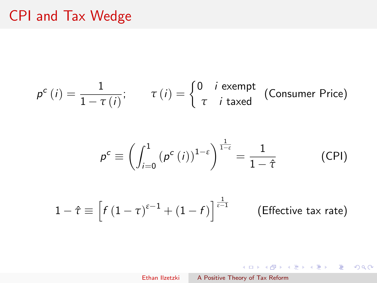# CPI and Tax Wedge

$$
p^{c}(i) = \frac{1}{1 - \tau(i)}; \qquad \tau(i) = \begin{cases} 0 & i \text{ eexempt} \\ \tau & i \text{ taxed} \end{cases} \text{ (Consumer Price)}
$$

$$
\rho^c \equiv \left( \int_{i=0}^1 \left( \rho^c \left( i \right) \right)^{1-\varepsilon} \right)^{\frac{1}{1-\varepsilon}} = \frac{1}{1-\hat{\tau}} \tag{CPI}
$$

$$
1 - \hat{\tau} \equiv \left[ f \left( 1 - \tau \right)^{\varepsilon - 1} + (1 - f) \right]^{\frac{1}{\varepsilon - 1}} \qquad \text{(Effective tax rate)}
$$

Ethan Ilzetzki [A Positive Theory of Tax Reform](#page-0-0)

イロト イ団 トメ きトメ きトー

活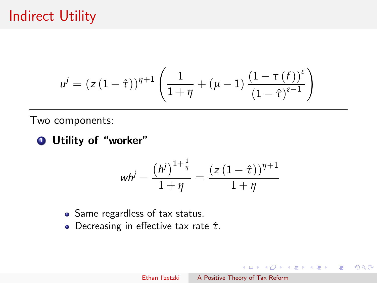# Indirect Utility

$$
u^{j} = (z (1-\hat{\tau}))^{\eta+1} \left( \frac{1}{1+\eta} + (\mu - 1) \frac{(1-\tau(f))^{2}}{(1-\hat{\tau})^{2}} \right)
$$

Two components:

**1** Utility of "worker"

$$
\mathsf{w} \mathsf{h}^{\mathsf{j}} - \frac{\left(\mathsf{h}^{\mathsf{j}}\right)^{1+\frac{1}{\eta}}}{1+\eta} = \frac{(z\,(1-\hat{\tau}))^{\eta+1}}{1+\eta}
$$

- Same regardless of tax status.
- Decreasing in effective tax rate *τ*ˆ.

イロメ イ団メ イモメ イモメー

 $2990$ 

重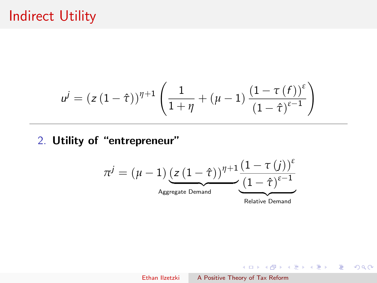# Indirect Utility

$$
u^{j} = \left(z\left(1-\hat{\tau}\right)\right)^{\eta+1} \left(\frac{1}{1+\eta} + \left(\mu-1\right)\frac{\left(1-\tau\left(f\right)\right)^{\varepsilon}}{\left(1-\hat{\tau}\right)^{\varepsilon-1}}\right)
$$

#### 2. Utility of "entrepreneur"

$$
\pi^j = (\mu - 1) \underbrace{\left(z \left(1-\hat{\tau} \right)\right)^{\eta + 1}}_{\text{Aggregate Demand}} \underbrace{\frac{\left(1-\tau \left(j \right)\right)^{\varepsilon}}{\left(1-\hat{\tau} \right)^{\varepsilon - 1}}}_{\text{Relative Demand}}
$$

Ethan Ilzetzki [A Positive Theory of Tax Reform](#page-0-0)

メロメ メ御 メメ きょくきょう

E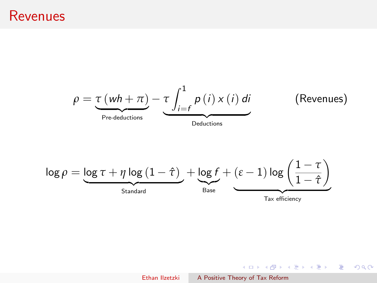### Revenues



 $\left\{ \begin{array}{ccc} 1 & 0 & 0 \\ 0 & 1 & 0 \end{array} \right.$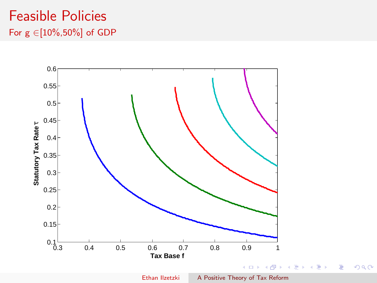### Feasible Policies For g ∈[10%,50%] of GDP

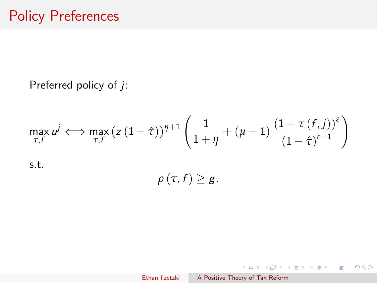Preferred policy of  $j$ :

$$
\max_{\tau, f} u^j \iff \max_{\tau, f} \left( z \left( 1 - \hat{\tau} \right) \right)^{\eta + 1} \left( \frac{1}{1 + \eta} + (\mu - 1) \frac{\left( 1 - \tau \left( f, j \right) \right)^{\varepsilon}}{\left( 1 - \hat{\tau} \right)^{\varepsilon - 1}} \right)
$$
\ns.t.\n
$$
\rho \left( \tau, f \right) \ge g.
$$

K ロ > K @ > K 할 > K 할 > → 할 → ⊙ Q @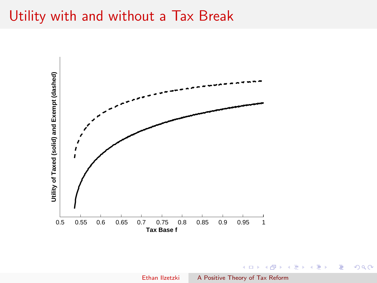### Utility with and without a Tax Break



Ethan Ilzetzki [A Positive Theory of Tax Reform](#page-0-0)

∢母

**B** э ×

4 0 8

Þ

×

Ε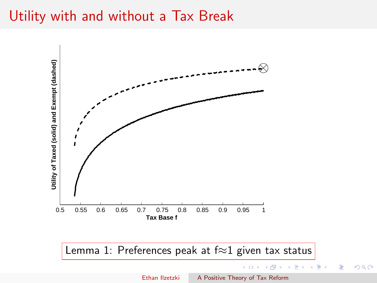### Utility with and without a Tax Break



Þ

 $QQ$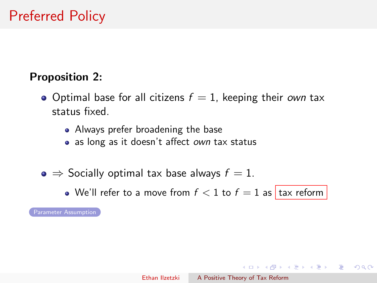# Preferred Policy

#### <span id="page-15-0"></span>Proposition 2:

- Optimal base for all citizens  $f = 1$ , keeping their own tax status fixed.
	- Always prefer broadening the base
	- as long as it doesn't affect own tax status
- $\bullet \Rightarrow$  Socially optimal tax base always  $f = 1$ .
	- We'll refer to a move from  $f < 1$  to  $f = 1$  as tax reform

イロメ イ押メ イヨメ イヨメー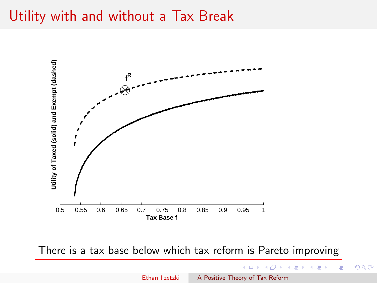### Utility with and without a Tax Break



There is a tax base below which tax reform is Pareto improving

Ethan Ilzetzki [A Positive Theory of Tax Reform](#page-0-0)

イロメ イ部メ イ君メ イ君メ

Þ

 $QQ$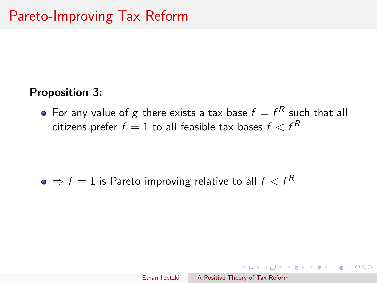#### Proposition 3:

For any value of  $g$  there exists a tax base  $f=f^R$  such that all citizens prefer  $f=1$  to all feasible tax bases  $f< f^{\mathcal{R}}$ 

#### $\Rightarrow f=1$  is Pareto improving relative to all  $f < f^R$

 $\left\{ \begin{array}{ccc} \square & \times & \overline{\square} & \times \end{array} \right.$   $\left\{ \begin{array}{ccc} \square & \times & \times & \overline{\square} & \times \end{array} \right.$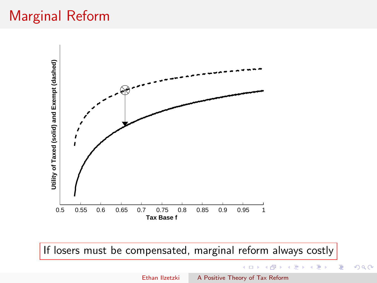# Marginal Reform



If losers must be compensated, marginal reform always costly

Ethan Ilzetzki [A Positive Theory of Tax Reform](#page-0-0)

イロメ イ部メ イ君メ イ君メ

È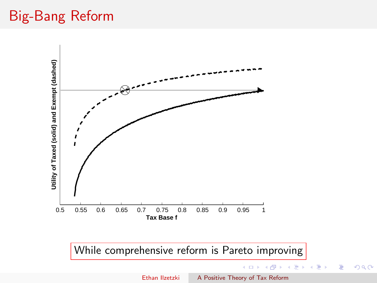# Big-Bang Reform



Ethan Ilzetzki [A Positive Theory of Tax Reform](#page-0-0)

E  $\bar{\nu}$ Ε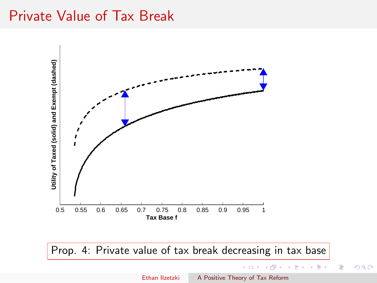### Private Value of Tax Break



Prop. 4: Private value of tax break decreasing in tax base

Ethan Ilzetzki [A Positive Theory of Tax Reform](#page-0-0)

K ロ ▶ K 御 ▶ K 君 ▶ K 君 ▶

È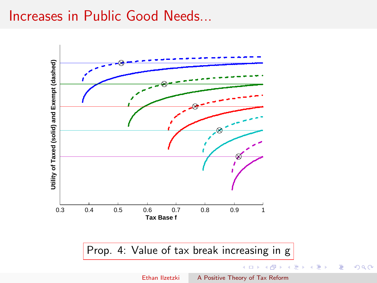### Increases in Public Good Needs...

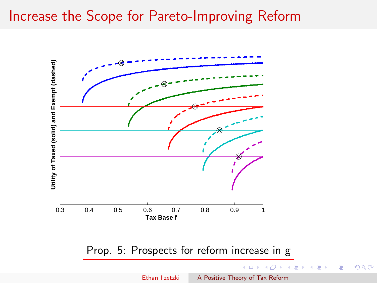### Increase the Scope for Pareto-Improving Reform

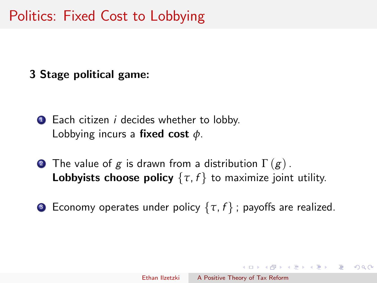# Politics: Fixed Cost to Lobbying

#### 3 Stage political game:

- $\bullet$  Each citizen *i* decides whether to lobby. Lobbying incurs a fixed cost *φ*.
- **2** The value of g is drawn from a distribution  $\Gamma(g)$ . **Lobbyists choose policy**  $\{\tau, f\}$  to maximize joint utility.
- **3** Economy operates under policy  $\{\tau, f\}$ ; payoffs are realized.

**K ロ メ イ 団 メ ス ヨ メ ス ヨ メ ニ ヨ** 

ഹം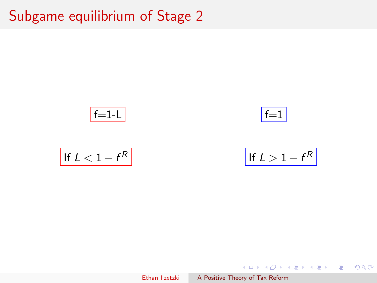# Subgame equilibrium of Stage 2



Ethan Ilzetzki [A Positive Theory of Tax Reform](#page-0-0)

イロメ イ部メ イ君メ イ君メー

 $\equiv$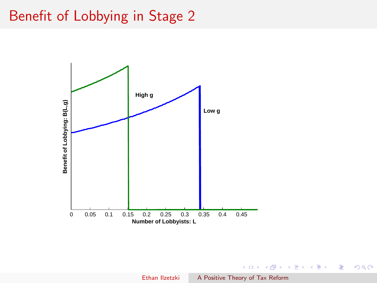# Benefit of Lobbying in Stage 2



Ethan Ilzetzki [A Positive Theory of Tax Reform](#page-0-0)

 $\leftarrow$   $\Box$   $\rightarrow$ 

→同→

→ 君 > → 君 >

Þ

 $2Q$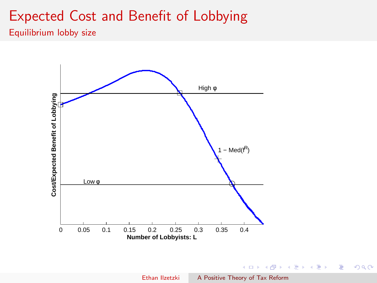#### Expected Cost and Benefit of Lobbying Equilibrium lobby size



Ethan Ilzetzki [A Positive Theory of Tax Reform](#page-0-0)

 $\rightarrow \Box$ 

4 0 8

E,

 $\mathbf{q}$  $\sim$ ×, **B** 

E

Þ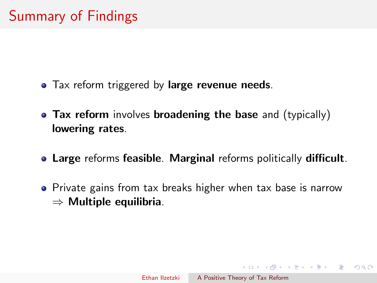- Tax reform triggered by large revenue needs.
- Tax reform involves broadening the base and (typically) lowering rates.
- Large reforms feasible. Marginal reforms politically difficult.
- Private gains from tax breaks higher when tax base is narrow  $\Rightarrow$  Multiple equilibria.

 $\mathbf{C} = \mathbf{A} \oplus \mathbf{B} + \mathbf{A} \oplus \mathbf{B} + \mathbf{A} \oplus \mathbf{B} + \mathbf{A} \oplus \mathbf{B} + \mathbf{A} \oplus \mathbf{B} + \mathbf{A} \oplus \mathbf{B} + \mathbf{A} \oplus \mathbf{B} + \mathbf{A} \oplus \mathbf{B} + \mathbf{A} \oplus \mathbf{B} + \mathbf{A} \oplus \mathbf{B} + \mathbf{A} \oplus \mathbf{B} + \mathbf{A} \oplus \mathbf{B} + \mathbf{A} \oplus \mathbf{B} + \mathbf{A$ 

 $\Omega$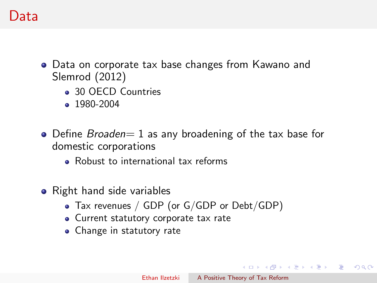### Data

- Data on corporate tax base changes from Kawano and Slemrod (2012)
	- 30 OECD Countries
	- 1980-2004
- $\bullet$  Define *Broaden*= 1 as any broadening of the tax base for domestic corporations
	- Robust to international tax reforms
- Right hand side variables
	- Tax revenues / GDP (or G/GDP or Debt/GDP)
	- Current statutory corporate tax rate
	- Change in statutory rate

イロメ イ母メ イヨメ イヨメー

 $\Omega$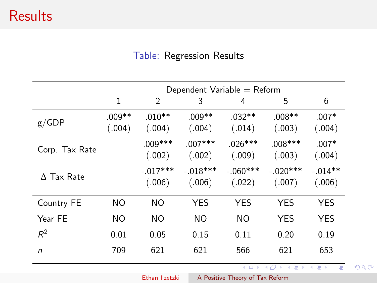**Results** 

#### Table: Regression Results

|                    | Dependent Variable $=$ Reform |                                                   |                      |                      |                      |                     |
|--------------------|-------------------------------|---------------------------------------------------|----------------------|----------------------|----------------------|---------------------|
|                    | 1                             | 2                                                 | 3                    | 4                    | 5                    | 6                   |
| g/GDP              | $.009**$<br>(.004)            | $.010**$<br>(.004)                                | $.009**$<br>(.004)   | $.032**$<br>(.014)   | $.008**$<br>(.003)   | $.007*$<br>(.004)   |
| Corp. Tax Rate     |                               | $.009***$<br>(.002)                               | $.007***$<br>(.002)  | $.026***$<br>(.009)  | $.008***$<br>(.003)  | $.007*$<br>(.004)   |
| $\Lambda$ Tax Rate |                               | $-.017***$<br>(.006)                              | $-.018***$<br>(.006) | $-.060***$<br>(.022) | $-.020***$<br>(.007) | $-.014**$<br>(.006) |
| Country FE         | NO.                           | <b>NO</b>                                         | YES                  | <b>YES</b>           | YES                  | <b>YES</b>          |
| Year FE            | NO.                           | NO.                                               | NO.                  | NO.                  | YES                  | <b>YES</b>          |
| $R^2$              | 0.01                          | 0.05                                              | 0.15                 | 0.11                 | 0.20                 | 0.19                |
| n                  | 709                           | 621                                               | 621                  | 566                  | 621                  | 653                 |
|                    | メロメ メタメ メミメ スミメ<br>$\equiv$   |                                                   |                      |                      |                      |                     |
|                    |                               | Ethan Ilzetzki<br>A Positive Theory of Tax Reform |                      |                      |                      |                     |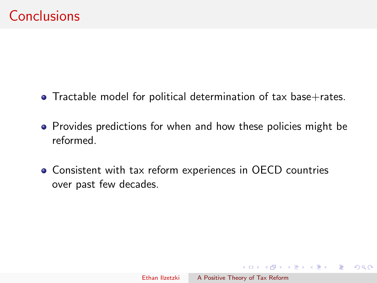- Tractable model for political determination of tax base+rates.
- Provides predictions for when and how these policies might be reformed.
- Consistent with tax reform experiences in OECD countries over past few decades.

イロメ イ母メ イヨメ イヨメート

 $\equiv$  $\Omega$